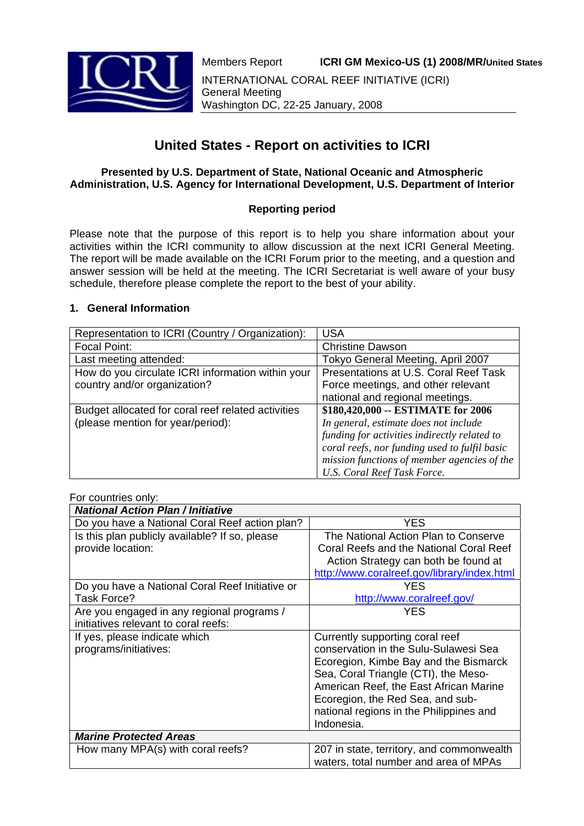

# **United States - Report on activities to ICRI**

## **Presented by U.S. Department of State, National Oceanic and Atmospheric Administration, U.S. Agency for International Development, U.S. Department of Interior**

# **Reporting period**

Please note that the purpose of this report is to help you share information about your activities within the ICRI community to allow discussion at the next ICRI General Meeting. The report will be made available on the ICRI Forum prior to the meeting, and a question and answer session will be held at the meeting. The ICRI Secretariat is well aware of your busy schedule, therefore please complete the report to the best of your ability.

## **1. General Information**

| Representation to ICRI (Country / Organization):   | <b>USA</b>                                    |
|----------------------------------------------------|-----------------------------------------------|
| Focal Point:                                       | <b>Christine Dawson</b>                       |
| Last meeting attended:                             | Tokyo General Meeting, April 2007             |
| How do you circulate ICRI information within your  | Presentations at U.S. Coral Reef Task         |
| country and/or organization?                       | Force meetings, and other relevant            |
|                                                    | national and regional meetings.               |
| Budget allocated for coral reef related activities | \$180,420,000 -- ESTIMATE for 2006            |
| (please mention for year/period):                  | In general, estimate does not include         |
|                                                    | funding for activities indirectly related to  |
|                                                    | coral reefs, nor funding used to fulfil basic |
|                                                    | mission functions of member agencies of the   |
|                                                    | U.S. Coral Reef Task Force.                   |

#### For countries only:

| <b>National Action Plan / Initiative</b>        |                                             |
|-------------------------------------------------|---------------------------------------------|
| Do you have a National Coral Reef action plan?  | YES                                         |
| Is this plan publicly available? If so, please  | The National Action Plan to Conserve        |
| provide location:                               | Coral Reefs and the National Coral Reef     |
|                                                 | Action Strategy can both be found at        |
|                                                 | http://www.coralreef.gov/library/index.html |
| Do you have a National Coral Reef Initiative or | YES                                         |
| Task Force?                                     | http://www.coralreef.gov/                   |
| Are you engaged in any regional programs /      | YES                                         |
| initiatives relevant to coral reefs:            |                                             |
| If yes, please indicate which                   | Currently supporting coral reef             |
| programs/initiatives:                           | conservation in the Sulu-Sulawesi Sea       |
|                                                 | Ecoregion, Kimbe Bay and the Bismarck       |
|                                                 | Sea, Coral Triangle (CTI), the Meso-        |
|                                                 | American Reef, the East African Marine      |
|                                                 | Ecoregion, the Red Sea, and sub-            |
|                                                 | national regions in the Philippines and     |
|                                                 | Indonesia.                                  |
| <b>Marine Protected Areas</b>                   |                                             |
| How many MPA(s) with coral reefs?               | 207 in state, territory, and commonwealth   |
|                                                 | waters, total number and area of MPAs       |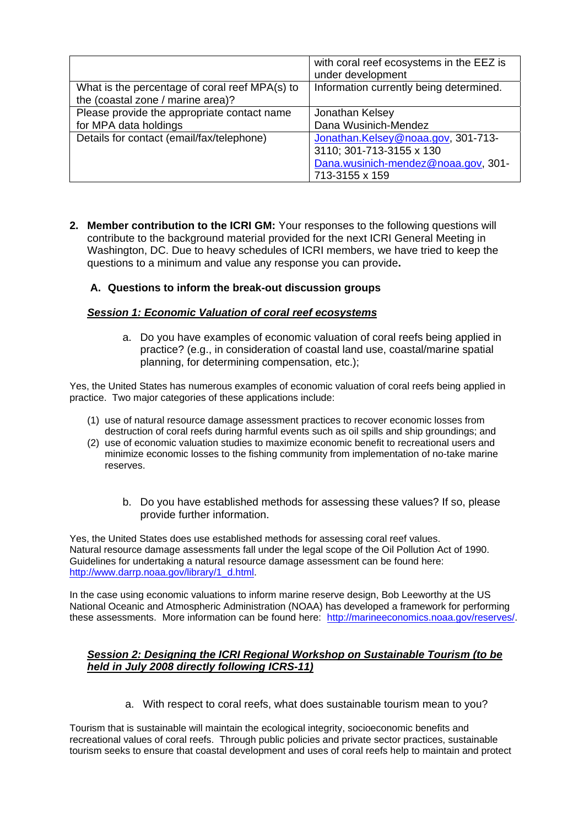|                                                                                     | with coral reef ecosystems in the EEZ is<br>under development                                                           |
|-------------------------------------------------------------------------------------|-------------------------------------------------------------------------------------------------------------------------|
| What is the percentage of coral reef MPA(s) to<br>the (coastal zone / marine area)? | Information currently being determined.                                                                                 |
| Please provide the appropriate contact name<br>for MPA data holdings                | Jonathan Kelsey<br>Dana Wusinich-Mendez                                                                                 |
| Details for contact (email/fax/telephone)                                           | Jonathan.Kelsey@noaa.gov, 301-713-<br>3110; 301-713-3155 x 130<br>Dana.wusinich-mendez@noaa.gov, 301-<br>713-3155 x 159 |

**2. Member contribution to the ICRI GM:** Your responses to the following questions will contribute to the background material provided for the next ICRI General Meeting in Washington, DC. Due to heavy schedules of ICRI members, we have tried to keep the questions to a minimum and value any response you can provide**.** 

## **A. Questions to inform the break-out discussion groups**

#### *Session 1: Economic Valuation of coral reef ecosystems*

a. Do you have examples of economic valuation of coral reefs being applied in practice? (e.g., in consideration of coastal land use, coastal/marine spatial planning, for determining compensation, etc.);

Yes, the United States has numerous examples of economic valuation of coral reefs being applied in practice. Two major categories of these applications include:

- (1) use of natural resource damage assessment practices to recover economic losses from destruction of coral reefs during harmful events such as oil spills and ship groundings; and
- (2) use of economic valuation studies to maximize economic benefit to recreational users and minimize economic losses to the fishing community from implementation of no-take marine reserves.
	- b. Do you have established methods for assessing these values? If so, please provide further information.

Yes, the United States does use established methods for assessing coral reef values. Natural resource damage assessments fall under the legal scope of the Oil Pollution Act of 1990. Guidelines for undertaking a natural resource damage assessment can be found here: http://www.darrp.noaa.gov/library/1\_d.html.

In the case using economic valuations to inform marine reserve design, Bob Leeworthy at the US National Oceanic and Atmospheric Administration (NOAA) has developed a framework for performing these assessments. More information can be found here: http://marineeconomics.noaa.gov/reserves/.

### *Session 2: Designing the ICRI Regional Workshop on Sustainable Tourism (to be held in July 2008 directly following ICRS-11)*

a. With respect to coral reefs, what does sustainable tourism mean to you?

Tourism that is sustainable will maintain the ecological integrity, socioeconomic benefits and recreational values of coral reefs. Through public policies and private sector practices, sustainable tourism seeks to ensure that coastal development and uses of coral reefs help to maintain and protect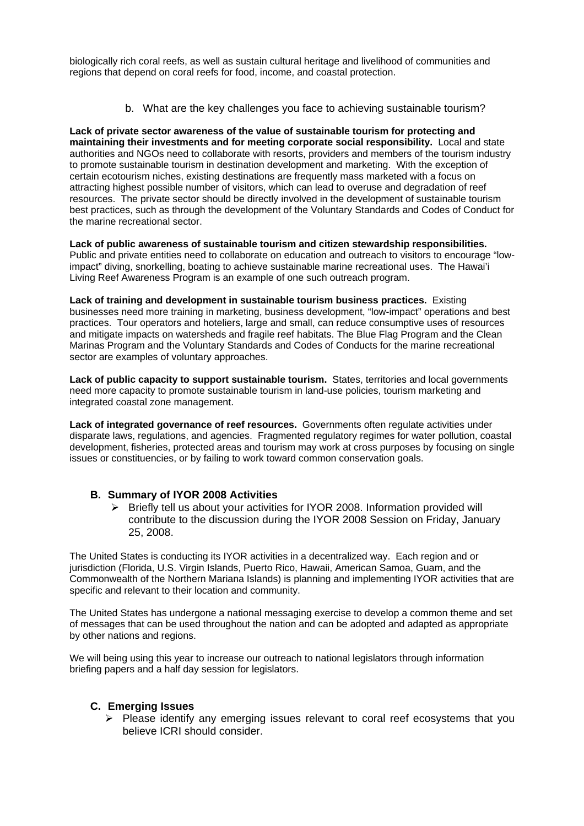biologically rich coral reefs, as well as sustain cultural heritage and livelihood of communities and regions that depend on coral reefs for food, income, and coastal protection.

b. What are the key challenges you face to achieving sustainable tourism?

**Lack of private sector awareness of the value of sustainable tourism for protecting and maintaining their investments and for meeting corporate social responsibility.** Local and state authorities and NGOs need to collaborate with resorts, providers and members of the tourism industry to promote sustainable tourism in destination development and marketing. With the exception of certain ecotourism niches, existing destinations are frequently mass marketed with a focus on attracting highest possible number of visitors, which can lead to overuse and degradation of reef resources. The private sector should be directly involved in the development of sustainable tourism best practices, such as through the development of the Voluntary Standards and Codes of Conduct for the marine recreational sector.

**Lack of public awareness of sustainable tourism and citizen stewardship responsibilities.** Public and private entities need to collaborate on education and outreach to visitors to encourage "lowimpact" diving, snorkelling, boating to achieve sustainable marine recreational uses. The Hawai'i Living Reef Awareness Program is an example of one such outreach program.

**Lack of training and development in sustainable tourism business practices.** Existing businesses need more training in marketing, business development, "low-impact" operations and best practices. Tour operators and hoteliers, large and small, can reduce consumptive uses of resources and mitigate impacts on watersheds and fragile reef habitats. The Blue Flag Program and the Clean Marinas Program and the Voluntary Standards and Codes of Conducts for the marine recreational sector are examples of voluntary approaches.

**Lack of public capacity to support sustainable tourism.** States, territories and local governments need more capacity to promote sustainable tourism in land-use policies, tourism marketing and integrated coastal zone management.

**Lack of integrated governance of reef resources.** Governments often regulate activities under disparate laws, regulations, and agencies. Fragmented regulatory regimes for water pollution, coastal development, fisheries, protected areas and tourism may work at cross purposes by focusing on single issues or constituencies, or by failing to work toward common conservation goals.

## **B. Summary of IYOR 2008 Activities**

¾ Briefly tell us about your activities for IYOR 2008. Information provided will contribute to the discussion during the IYOR 2008 Session on Friday, January 25, 2008.

The United States is conducting its IYOR activities in a decentralized way. Each region and or jurisdiction (Florida, U.S. Virgin Islands, Puerto Rico, Hawaii, American Samoa, Guam, and the Commonwealth of the Northern Mariana Islands) is planning and implementing IYOR activities that are specific and relevant to their location and community.

The United States has undergone a national messaging exercise to develop a common theme and set of messages that can be used throughout the nation and can be adopted and adapted as appropriate by other nations and regions.

We will being using this year to increase our outreach to national legislators through information briefing papers and a half day session for legislators.

#### **C. Emerging Issues**

 $\triangleright$  Please identify any emerging issues relevant to coral reef ecosystems that you believe ICRI should consider.